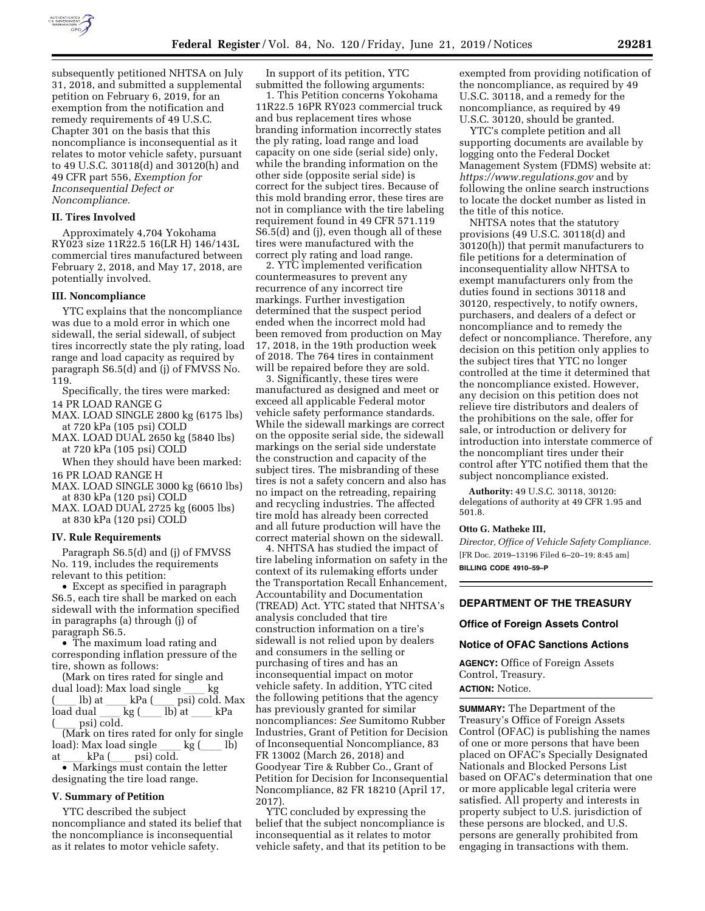

subsequently petitioned NHTSA on July 31, 2018, and submitted a supplemental petition on February 6, 2019, for an exemption from the notification and remedy requirements of 49 U.S.C. Chapter 301 on the basis that this noncompliance is inconsequential as it relates to motor vehicle safety, pursuant to 49 U.S.C. 30118(d) and 30120(h) and 49 CFR part 556, *Exemption for Inconsequential Defect or Noncompliance.* 

#### **II. Tires Involved**

Approximately 4,704 Yokohama RY023 size 11R22.5 16(LR H) 146/143L commercial tires manufactured between February 2, 2018, and May 17, 2018, are potentially involved.

### **III. Noncompliance**

YTC explains that the noncompliance was due to a mold error in which one sidewall, the serial sidewall, of subject tires incorrectly state the ply rating, load range and load capacity as required by paragraph S6.5(d) and (j) of FMVSS No. 119.

Specifically, the tires were marked: 14 PR LOAD RANGE G

MAX. LOAD SINGLE 2800 kg (6175 lbs) at 720 kPa (105 psi) COLD

MAX. LOAD DUAL 2650 kg (5840 lbs) at 720 kPa (105 psi) COLD

When they should have been marked: 16 PR LOAD RANGE H

MAX. LOAD SINGLE 3000 kg (6610 lbs) at 830 kPa (120 psi) COLD

MAX. LOAD DUAL 2725 kg (6005 lbs) at 830 kPa (120 psi) COLD

### **IV. Rule Requirements**

Paragraph S6.5(d) and (j) of FMVSS No. 119, includes the requirements relevant to this petition:

• Except as specified in paragraph S6.5, each tire shall be marked on each sidewall with the information specified in paragraphs (a) through (j) of paragraph S6.5.

• The maximum load rating and corresponding inflation pressure of the tire, shown as follows:

(Mark on tires rated for single and dual load): Max load single ll kg kPa (\_\_\_ psi) cold. Max<br>kg (\_\_\_ lb) at \_\_\_ kPa load dual  $\frac{1}{\cosh \theta}$ (\_\_\_ psi) cold.<br>(Mark on tires rated for only for single)

load): Max load single \_\_\_ kg (\_\_\_ lb)<br>at \_\_\_ kPa (\_\_\_ psi) cold.

at \_\_\_ kPa (\_\_\_ psi) cold.<br>• Markings must contain the letter designating the tire load range.

# **V. Summary of Petition**

YTC described the subject noncompliance and stated its belief that the noncompliance is inconsequential as it relates to motor vehicle safety.

In support of its petition, YTC submitted the following arguments:

1. This Petition concerns Yokohama 11R22.5 16PR RY023 commercial truck and bus replacement tires whose branding information incorrectly states the ply rating, load range and load capacity on one side (serial side) only, while the branding information on the other side (opposite serial side) is correct for the subject tires. Because of this mold branding error, these tires are not in compliance with the tire labeling requirement found in 49 CFR 571.119 S6.5(d) and (j), even though all of these tires were manufactured with the correct ply rating and load range.

2. YTC implemented verification countermeasures to prevent any recurrence of any incorrect tire markings. Further investigation determined that the suspect period ended when the incorrect mold had been removed from production on May 17, 2018, in the 19th production week of 2018. The 764 tires in containment will be repaired before they are sold.

3. Significantly, these tires were manufactured as designed and meet or exceed all applicable Federal motor vehicle safety performance standards. While the sidewall markings are correct on the opposite serial side, the sidewall markings on the serial side understate the construction and capacity of the subject tires. The misbranding of these tires is not a safety concern and also has no impact on the retreading, repairing and recycling industries. The affected tire mold has already been corrected and all future production will have the correct material shown on the sidewall.

4. NHTSA has studied the impact of tire labeling information on safety in the context of its rulemaking efforts under the Transportation Recall Enhancement, Accountability and Documentation (TREAD) Act. YTC stated that NHTSA's analysis concluded that tire construction information on a tire's sidewall is not relied upon by dealers and consumers in the selling or purchasing of tires and has an inconsequential impact on motor vehicle safety. In addition, YTC cited the following petitions that the agency has previously granted for similar noncompliances: *See* Sumitomo Rubber Industries, Grant of Petition for Decision of Inconsequential Noncompliance, 83 FR 13002 (March 26, 2018) and Goodyear Tire & Rubber Co., Grant of Petition for Decision for Inconsequential Noncompliance, 82 FR 18210 (April 17, 2017).

YTC concluded by expressing the belief that the subject noncompliance is inconsequential as it relates to motor vehicle safety, and that its petition to be

exempted from providing notification of the noncompliance, as required by 49 U.S.C. 30118, and a remedy for the noncompliance, as required by 49 U.S.C. 30120, should be granted.

YTC's complete petition and all supporting documents are available by logging onto the Federal Docket Management System (FDMS) website at: *<https://www.regulations.gov>* and by following the online search instructions to locate the docket number as listed in the title of this notice.

NHTSA notes that the statutory provisions (49 U.S.C. 30118(d) and 30120(h)) that permit manufacturers to file petitions for a determination of inconsequentiality allow NHTSA to exempt manufacturers only from the duties found in sections 30118 and 30120, respectively, to notify owners, purchasers, and dealers of a defect or noncompliance and to remedy the defect or noncompliance. Therefore, any decision on this petition only applies to the subject tires that YTC no longer controlled at the time it determined that the noncompliance existed. However, any decision on this petition does not relieve tire distributors and dealers of the prohibitions on the sale, offer for sale, or introduction or delivery for introduction into interstate commerce of the noncompliant tires under their control after YTC notified them that the subject noncompliance existed.

**Authority:** 49 U.S.C. 30118, 30120: delegations of authority at 49 CFR 1.95 and 501.8.

### **Otto G. Matheke III,**

*Director, Office of Vehicle Safety Compliance.*  [FR Doc. 2019–13196 Filed 6–20–19; 8:45 am] **BILLING CODE 4910–59–P** 

### **DEPARTMENT OF THE TREASURY**

### **Office of Foreign Assets Control**

### **Notice of OFAC Sanctions Actions**

**AGENCY:** Office of Foreign Assets Control, Treasury.

**ACTION:** Notice.

**SUMMARY:** The Department of the Treasury's Office of Foreign Assets Control (OFAC) is publishing the names of one or more persons that have been placed on OFAC's Specially Designated Nationals and Blocked Persons List based on OFAC's determination that one or more applicable legal criteria were satisfied. All property and interests in property subject to U.S. jurisdiction of these persons are blocked, and U.S. persons are generally prohibited from engaging in transactions with them.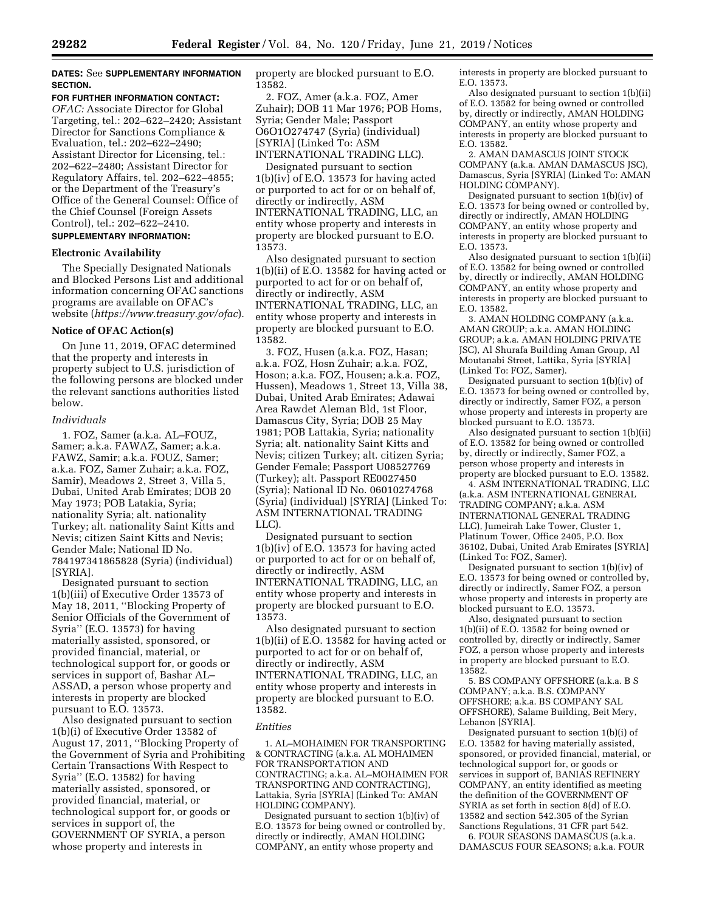# **DATES:** See **SUPPLEMENTARY INFORMATION SECTION.**

#### **FOR FURTHER INFORMATION CONTACT:**

*OFAC:* Associate Director for Global Targeting, tel.: 202–622–2420; Assistant Director for Sanctions Compliance & Evaluation, tel.: 202–622–2490; Assistant Director for Licensing, tel.: 202–622–2480; Assistant Director for Regulatory Affairs, tel. 202–622–4855; or the Department of the Treasury's Office of the General Counsel: Office of the Chief Counsel (Foreign Assets Control), tel.: 202–622–2410.

# **SUPPLEMENTARY INFORMATION:**

## **Electronic Availability**

The Specially Designated Nationals and Blocked Persons List and additional information concerning OFAC sanctions programs are available on OFAC's website (*<https://www.treasury.gov/ofac>*).

### **Notice of OFAC Action(s)**

On June 11, 2019, OFAC determined that the property and interests in property subject to U.S. jurisdiction of the following persons are blocked under the relevant sanctions authorities listed below.

### *Individuals*

1. FOZ, Samer (a.k.a. AL–FOUZ, Samer; a.k.a. FAWAZ, Samer; a.k.a. FAWZ, Samir; a.k.a. FOUZ, Samer; a.k.a. FOZ, Samer Zuhair; a.k.a. FOZ, Samir), Meadows 2, Street 3, Villa 5, Dubai, United Arab Emirates; DOB 20 May 1973; POB Latakia, Syria; nationality Syria; alt. nationality Turkey; alt. nationality Saint Kitts and Nevis; citizen Saint Kitts and Nevis; Gender Male; National ID No. 784197341865828 (Syria) (individual) [SYRIA].

Designated pursuant to section 1(b)(iii) of Executive Order 13573 of May 18, 2011, ''Blocking Property of Senior Officials of the Government of Syria'' (E.O. 13573) for having materially assisted, sponsored, or provided financial, material, or technological support for, or goods or services in support of, Bashar AL– ASSAD, a person whose property and interests in property are blocked pursuant to E.O. 13573.

Also designated pursuant to section 1(b)(i) of Executive Order 13582 of August 17, 2011, ''Blocking Property of the Government of Syria and Prohibiting Certain Transactions With Respect to Syria'' (E.O. 13582) for having materially assisted, sponsored, or provided financial, material, or technological support for, or goods or services in support of, the GOVERNMENT OF SYRIA, a person whose property and interests in

property are blocked pursuant to E.O. 13582.

2. FOZ, Amer (a.k.a. FOZ, Amer Zuhair); DOB 11 Mar 1976; POB Homs, Syria; Gender Male; Passport O6O1O274747 (Syria) (individual) [SYRIA] (Linked To: ASM INTERNATIONAL TRADING LLC).

Designated pursuant to section 1(b)(iv) of E.O. 13573 for having acted or purported to act for or on behalf of, directly or indirectly, ASM INTERNATIONAL TRADING, LLC, an entity whose property and interests in property are blocked pursuant to E.O. 13573.

Also designated pursuant to section 1(b)(ii) of E.O. 13582 for having acted or purported to act for or on behalf of, directly or indirectly, ASM INTERNATIONAL TRADING, LLC, an entity whose property and interests in property are blocked pursuant to E.O. 13582.

3. FOZ, Husen (a.k.a. FOZ, Hasan; a.k.a. FOZ, Hosn Zuhair; a.k.a. FOZ, Hoson; a.k.a. FOZ, Housen; a.k.a. FOZ, Hussen), Meadows 1, Street 13, Villa 38, Dubai, United Arab Emirates; Adawai Area Rawdet Aleman Bld, 1st Floor, Damascus City, Syria; DOB 25 May 1981; POB Lattakia, Syria; nationality Syria; alt. nationality Saint Kitts and Nevis; citizen Turkey; alt. citizen Syria; Gender Female; Passport U08527769 (Turkey); alt. Passport RE0027450 (Syria); National ID No. 06010274768 (Syria) (individual) [SYRIA] (Linked To: ASM INTERNATIONAL TRADING LLC).

Designated pursuant to section 1(b)(iv) of E.O. 13573 for having acted or purported to act for or on behalf of, directly or indirectly, ASM INTERNATIONAL TRADING, LLC, an entity whose property and interests in property are blocked pursuant to E.O. 13573.

Also designated pursuant to section 1(b)(ii) of E.O. 13582 for having acted or purported to act for or on behalf of, directly or indirectly, ASM INTERNATIONAL TRADING, LLC, an entity whose property and interests in property are blocked pursuant to E.O. 13582.

### *Entities*

1. AL–MOHAIMEN FOR TRANSPORTING & CONTRACTING (a.k.a. AL MOHAIMEN FOR TRANSPORTATION AND CONTRACTING; a.k.a. AL–MOHAIMEN FOR TRANSPORTING AND CONTRACTING), Lattakia, Syria [SYRIA] (Linked To: AMAN HOLDING COMPANY).

Designated pursuant to section 1(b)(iv) of E.O. 13573 for being owned or controlled by, directly or indirectly, AMAN HOLDING COMPANY, an entity whose property and

interests in property are blocked pursuant to E.O. 13573.

Also designated pursuant to section 1(b)(ii) of E.O. 13582 for being owned or controlled by, directly or indirectly, AMAN HOLDING COMPANY, an entity whose property and interests in property are blocked pursuant to E.O. 13582.

2. AMAN DAMASCUS JOINT STOCK COMPANY (a.k.a. AMAN DAMASCUS JSC), Damascus, Syria [SYRIA] (Linked To: AMAN HOLDING COMPANY).

Designated pursuant to section 1(b)(iv) of E.O. 13573 for being owned or controlled by, directly or indirectly, AMAN HOLDING COMPANY, an entity whose property and interests in property are blocked pursuant to E.O. 13573.

Also designated pursuant to section 1(b)(ii) of E.O. 13582 for being owned or controlled by, directly or indirectly, AMAN HOLDING COMPANY, an entity whose property and interests in property are blocked pursuant to E.O. 13582.

3. AMAN HOLDING COMPANY (a.k.a. AMAN GROUP; a.k.a. AMAN HOLDING GROUP; a.k.a. AMAN HOLDING PRIVATE JSC), Al Shurafa Building Aman Group, Al Moutanabi Street, Lattika, Syria [SYRIA] (Linked To: FOZ, Samer).

Designated pursuant to section 1(b)(iv) of E.O. 13573 for being owned or controlled by, directly or indirectly, Samer FOZ, a person whose property and interests in property are blocked pursuant to E.O. 13573.

Also designated pursuant to section 1(b)(ii) of E.O. 13582 for being owned or controlled by, directly or indirectly, Samer FOZ, a person whose property and interests in property are blocked pursuant to E.O. 13582.

4. ASM INTERNATIONAL TRADING, LLC (a.k.a. ASM INTERNATIONAL GENERAL TRADING COMPANY; a.k.a. ASM INTERNATIONAL GENERAL TRADING LLC), Jumeirah Lake Tower, Cluster 1, Platinum Tower, Office 2405, P.O. Box 36102, Dubai, United Arab Emirates [SYRIA] (Linked To: FOZ, Samer).

Designated pursuant to section 1(b)(iv) of E.O. 13573 for being owned or controlled by, directly or indirectly, Samer FOZ, a person whose property and interests in property are blocked pursuant to E.O. 13573.

Also, designated pursuant to section 1(b)(ii) of E.O. 13582 for being owned or controlled by, directly or indirectly, Samer FOZ, a person whose property and interests in property are blocked pursuant to E.O. 13582.

5. BS COMPANY OFFSHORE (a.k.a. B S COMPANY; a.k.a. B.S. COMPANY OFFSHORE; a.k.a. BS COMPANY SAL OFFSHORE), Salame Building, Beit Mery, Lebanon [SYRIA].

Designated pursuant to section 1(b)(i) of E.O. 13582 for having materially assisted, sponsored, or provided financial, material, or technological support for, or goods or services in support of, BANIAS REFINERY COMPANY, an entity identified as meeting the definition of the GOVERNMENT OF SYRIA as set forth in section 8(d) of E.O. 13582 and section 542.305 of the Syrian Sanctions Regulations, 31 CFR part 542.

6. FOUR SEASONS DAMASCUS (a.k.a. DAMASCUS FOUR SEASONS; a.k.a. FOUR